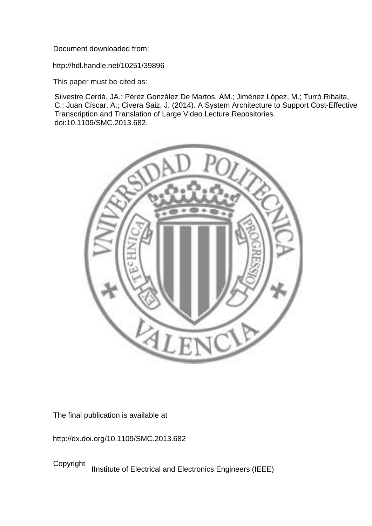Document downloaded from:

http://hdl.handle.net/10251/39896

This paper must be cited as:

Silvestre Cerdà, JA.; Pérez González De Martos, AM.; Jiménez López, M.; Turró Ribalta, C.; Juan Císcar, A.; Civera Saiz, J. (2014). A System Architecture to Support Cost-Effective Transcription and Translation of Large Video Lecture Repositories. doi:10.1109/SMC.2013.682.



The final publication is available at

http://dx.doi.org/10.1109/SMC.2013.682

Copyright IInstitute of Electrical and Electronics Engineers (IEEE)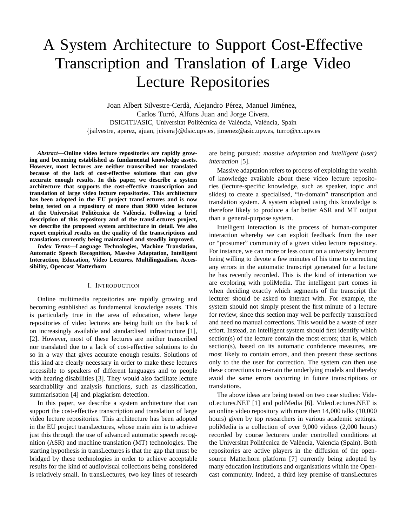# A System Architecture to Support Cost-Effective Transcription and Translation of Large Video Lecture Repositories

Joan Albert Silvestre-Cerdà, Alejandro Pérez, Manuel Jiménez, Carlos Turró, Alfons Juan and Jorge Civera. DSIC/ITI/ASIC, Universitat Politècnica de València, València, Spain {jsilvestre, aperez, ajuan, jcivera}@dsic.upv.es, jimenez@asic.upv.es, turro@cc.upv.es

*Abstract***—Online video lecture repositories are rapidly growing and becoming established as fundamental knowledge assets. However, most lectures are neither transcribed nor translated because of the lack of cost-effective solutions that can give accurate enough results. In this paper, we describe a system architecture that supports the cost-effective transcription and translation of large video lecture repositories. This architecture has been adopted in the EU project transLectures and is now being tested on a repository of more than 9000 video lectures** at the Universitat Politècnica de València. Following a brief **description of this repository and of the transLectures project, we describe the proposed system architecture in detail. We also report empirical results on the quality of the transcriptions and translations currently being maintained and steadily improved.**

*Index Terms***—Language Technologies, Machine Translation, Automatic Speech Recognition, Massive Adaptation, Intelligent Interaction, Education, Video Lectures, Multilingualism, Accessibility, Opencast Matterhorn**

#### I. INTRODUCTION

Online multimedia repositories are rapidly growing and becoming established as fundamental knowledge assets. This is particularly true in the area of education, where large repositories of video lectures are being built on the back of on increasingly available and standardised infrastructure [1], [2]. However, most of these lectures are neither transcribed nor translated due to a lack of cost-effective solutions to do so in a way that gives accurate enough results. Solutions of this kind are clearly necessary in order to make these lectures accessible to speakers of different languages and to people with hearing disabilities [3]. They would also facilitate lecture searchability and analysis functions, such as classification, summarisation [4] and plagiarism detection.

In this paper, we describe a system architecture that can support the cost-effective transcription and translation of large video lecture repositories. This architecture has been adopted in the EU project transLectures, whose main aim is to achieve just this through the use of advanced automatic speech recognition (ASR) and machine translation (MT) technologies. The starting hypothesis in transLectures is that the gap that must be bridged by these technologies in order to achieve acceptable results for the kind of audiovisual collections being considered is relatively small. In transLectures, two key lines of research are being pursued: *massive adaptation* and *intelligent (user) interaction* [5].

Massive adaptation refers to process of exploiting the wealth of knowledge available about these video lecture repositories (lecture-specific knowledge, such as speaker, topic and slides) to create a specialised, "in-domain" transcription and translation system. A system adapted using this knowledge is therefore likely to produce a far better ASR and MT output than a general-purpose system.

Intelligent interaction is the process of human-computer interaction whereby we can exploit feedback from the user or "prosumer" community of a given video lecture repository. For instance, we can more or less count on a university lecturer being willing to devote a few minutes of his time to correcting any errors in the automatic transcript generated for a lecture he has recently recorded. This is the kind of interaction we are exploring with poliMedia. The intelligent part comes in when deciding exactly which segments of the transcript the lecturer should be asked to interact with. For example, the system should not simply present the first minute of a lecture for review, since this section may well be perfectly transcribed and need no manual corrections. This would be a waste of user effort. Instead, an intelligent system should first identify which section(s) of the lecture contain the most errors; that is, which section(s), based on its automatic confidence measures, are most likely to contain errors, and then present these sections only to the the user for correction. The system can then use these corrections to re-train the underlying models and thereby avoid the same errors occurring in future transcriptions or translations.

The above ideas are being tested on two case studies: VideoLectures.NET [1] and poliMedia [6]. VideoLectures.NET is an online video repository with more then 14,000 talks (10,000 hours) given by top researchers in various academic settings. poliMedia is a collection of over 9,000 videos (2,000 hours) recorded by course lecturers under controlled conditions at the Universitat Politècnica de València, Valencia (Spain). Both repositories are active players in the diffusion of the opensource Matterhorn platform [7] currently being adopted by many education institutions and organisations within the Opencast community. Indeed, a third key premise of transLectures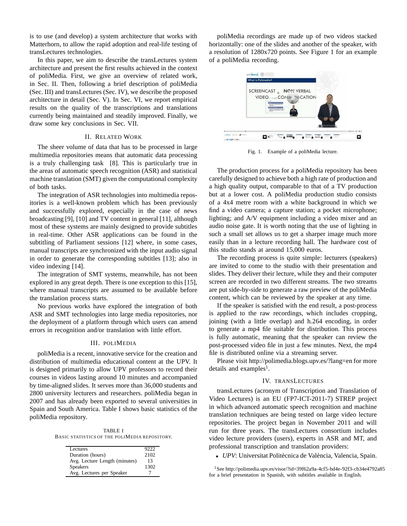is to use (and develop) a system architecture that works with Matterhorn, to allow the rapid adoption and real-life testing of transLectures technologies.

In this paper, we aim to describe the transLectures system architecture and present the first results achieved in the context of poliMedia. First, we give an overview of related work, in Sec. II. Then, following a brief description of poliMedia (Sec. III) and transLectures (Sec. IV), we describe the proposed architecture in detail (Sec. V). In Sec. VI, we report empirical results on the quality of the transcriptions and translations currently being maintained and steadily improved. Finally, we draw some key conclusions in Sec. VII.

## II. RELATED WORK

The sheer volume of data that has to be processed in large multimedia repositories means that automatic data processing is a truly challenging task [8]. This is particularly true in the areas of automatic speech recognition (ASR) and statistical machine translation (SMT) given the computational complexity of both tasks.

The integration of ASR technologies into multimedia repositories is a well-known problem which has been previously and successfully explored, especially in the case of news broadcasting [9], [10] and TV content in general [11], although most of these systems are mainly designed to provide subtitles in real-time. Other ASR applications can be found in the subtitling of Parliament sessions [12] where, in some cases, manual transcripts are synchronized with the input audio signal in order to generate the corresponding subtitles [13]; also in video indexing [14].

The integration of SMT systems, meanwhile, has not been explored in any great depth. There is one exception to this [15], where manual transcripts are assumed to be available before the translation process starts.

No previous works have explored the integration of both ASR and SMT technologies into large media repositories, nor the deployment of a platform through which users can amend errors in recognition and/or translation with little effort.

#### III. POLIMEDIA

poliMedia is a recent, innovative service for the creation and distribution of multimedia educational content at the UPV. It is designed primarily to allow UPV professors to record their courses in videos lasting around 10 minutes and accompanied by time-aligned slides. It serves more than 36,000 students and 2800 university lecturers and researchers. poliMedia began in 2007 and has already been exported to several universities in Spain and South America. Table I shows basic statistics of the poliMedia repository.

TABLE I BASIC STATISTICS OF THE POLIMEDIA REPOSITORY.

| Lectures                      | 9222 |
|-------------------------------|------|
| Duration (hours)              | 2102 |
| Avg. Lecture Length (minutes) | 13   |
| <b>Speakers</b>               | 1302 |
| Avg. Lectures per Speaker     |      |

poliMedia recordings are made up of two videos stacked horizontally: one of the slides and another of the speaker, with a resolution of 1280x720 points. See Figure 1 for an example of a poliMedia recording.



Fig. 1. Example of a poliMedia lecture.

The production process for a poliMedia repository has been carefully designed to achieve both a high rate of production and a high quality output, comparable to that of a TV production but at a lower cost. A poliMedia production studio consists of a 4x4 metre room with a white background in which we find a video camera; a capture station; a pocket microphone; lighting; and A/V equipment including a video mixer and an audio noise gate. It is worth noting that the use of lighting in such a small set allows us to get a sharper image much more easily than in a lecture recording hall. The hardware cost of this studio stands at around 15,000 euros.

The recording process is quite simple: lecturers (speakers) are invited to come to the studio with their presentation and slides. They deliver their lecture, while they and their computer screen are recorded in two different streams. The two streams are put side-by-side to generate a raw preview of the poliMedia content, which can be reviewed by the speaker at any time.

If the speaker is satisfied with the end result, a post-process is applied to the raw recordings, which includes cropping, joining (with a little overlap) and h.264 encoding, in order to generate a mp4 file suitable for distribution. This process is fully automatic, meaning that the speaker can review the post-processed video file in just a few minutes. Next, the mp4 file is distributed online via a streaming server.

Please visit http://polimedia.blogs.upv.es/?lang=en for more details and examples<sup>1</sup>.

## IV. TRANSLECTURES

transLectures (acronym of Transcription and Translation of Video Lectures) is an EU (FP7-ICT-2011-7) STREP project in which advanced automatic speech recognition and machine translation techniques are being tested on large video lecture repositories. The project began in November 2011 and will run for three years. The transLectures consortium includes video lecture providers (users), experts in ASR and MT, and professional transcription and translation providers:

• *UPV*: Universitat Politècnica de València, Valencia, Spain.

<sup>1</sup>See http://polimedia.upv.es/visor/?id=39f62a9a-4cf5-bd4e-92f3-cb34e4792a85 for a brief presentation in Spanish, with subtitles available in English.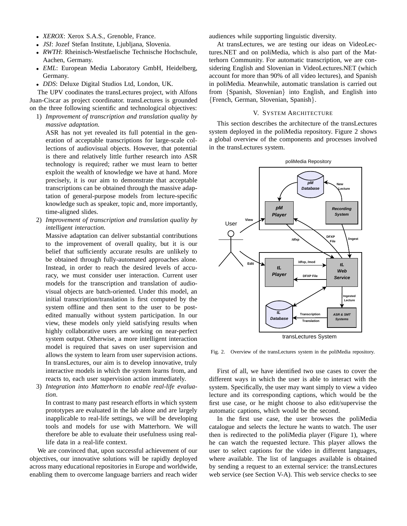- *XEROX*: Xerox S.A.S., Grenoble, France.
- *JSI*: Jozef Stefan Institute, Ljubljana, Slovenia.
- *RWTH*: Rheinisch-Westfaelische Technische Hochschule, Aachen, Germany.
- *EML*: European Media Laboratory GmbH, Heidelberg, Germany.
- *DDS*: Deluxe Digital Studios Ltd, London, UK.

The UPV coodinates the transLectures project, with Alfons Juan-Ciscar as project coordinator. transLectures is grounded on the three following scientific and technological objectives:

1) *Improvement of transcription and translation quality by massive adaptation.*

ASR has not yet revealed its full potential in the generation of acceptable transcriptions for large-scale collections of audiovisual objects. However, that potential is there and relatively little further research into ASR technology is required; rather we must learn to better exploit the wealth of knowledge we have at hand. More precisely, it is our aim to demonstrate that acceptable transcriptions can be obtained through the massive adaptation of general-purpose models from lecture-specific knowledge such as speaker, topic and, more importantly, time-aligned slides.

2) *Improvement of transcription and translation quality by intelligent interaction.*

Massive adaptation can deliver substantial contributions to the improvement of overall quality, but it is our belief that sufficiently accurate results are unlikely to be obtained through fully-automated approaches alone. Instead, in order to reach the desired levels of accuracy, we must consider user interaction. Current user models for the transcription and translation of audiovisual objects are batch-oriented. Under this model, an initial transcription/translation is first computed by the system offline and then sent to the user to be postedited manually without system participation. In our view, these models only yield satisfying results when highly collaborative users are working on near-perfect system output. Otherwise, a more intelligent interaction model is required that saves on user supervision and allows the system to learn from user supervision actions. In transLectures, our aim is to develop innovative, truly interactive models in which the system learns from, and reacts to, each user supervision action immediately.

3) *Integration into Matterhorn to enable real-life evaluation.*

In contrast to many past research efforts in which system prototypes are evaluated in the lab alone and are largely inapplicable to real-life settings, we will be developing tools and models for use with Matterhorn. We will therefore be able to evaluate their usefulness using reallife data in a real-life context.

We are convinced that, upon successful achievement of our objectives, our innovative solutions will be rapidly deployed across many educational repositories in Europe and worldwide, enabling them to overcome language barriers and reach wider audiences while supporting linguistic diversity.

At transLectures, we are testing our ideas on VideoLectures.NET and on poliMedia, which is also part of the Matterhorn Community. For automatic transcription, we are considering English and Slovenian in VideoLectures.NET (which account for more than 90% of all video lectures), and Spanish in poliMedia. Meanwhile, automatic translation is carried out from {Spanish, Slovenian} into English, and English into {French, German, Slovenian, Spanish}.

## V. SYSTEM ARCHITECTURE

This section describes the architecture of the transLectures system deployed in the poliMedia repository. Figure 2 shows a global overview of the components and processes involved in the transLectures system.



Fig. 2. Overview of the transLectures system in the poliMedia repository.

First of all, we have identified two use cases to cover the different ways in which the user is able to interact with the system. Specifically, the user may want simply to view a video lecture and its corresponding captions, which would be the first use case, or he might choose to also edit/supervise the automatic captions, which would be the second.

In the first use case, the user browses the poliMedia catalogue and selects the lecture he wants to watch. The user then is redirected to the poliMedia player (Figure 1), where he can watch the requested lecture. This player allows the user to select captions for the video in different languages, where available. The list of languages available is obtained by sending a request to an external service: the transLectures web service (see Section V-A). This web service checks to see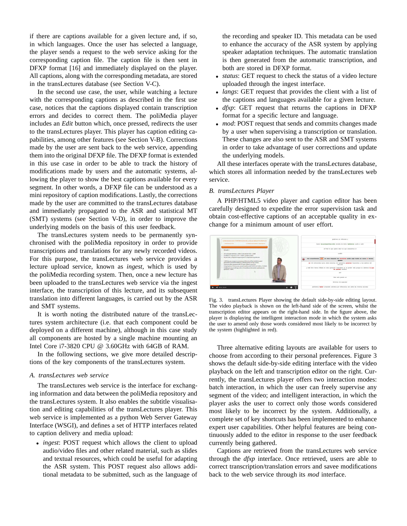if there are captions available for a given lecture and, if so, in which languages. Once the user has selected a language, the player sends a request to the web service asking for the corresponding caption file. The caption file is then sent in DFXP format [16] and immediately displayed on the player. All captions, along with the corresponding metadata, are stored in the transLectures database (see Section V-C).

In the second use case, the user, while watching a lecture with the corresponding captions as described in the first use case, notices that the captions displayed contain transcription errors and decides to correct them. The poliMedia player includes an *Edit* button which, once pressed, redirects the user to the transLectures player. This player has caption editing capabilities, among other features (see Section V-B). Corrections made by the user are sent back to the web service, appending them into the original DFXP file. The DFXP format is extended in this use case in order to be able to track the history of modifications made by users and the automatic systems, allowing the player to show the best captions available for every segment. In other words, a DFXP file can be understood as a mini repository of caption modifications. Lastly, the corrections made by the user are committed to the transLectures database and immediately propagated to the ASR and statistical MT (SMT) systems (see Section V-D), in order to improve the underlying models on the basis of this user feedback.

The transLectures system needs to be permanently synchronised with the poliMedia repository in order to provide transcriptions and translations for any newly recorded videos. For this purpose, the transLectures web service provides a lecture upload service, known as *ingest*, which is used by the poliMedia recording system. Then, once a new lecture has been uploaded to the transLectures web service via the ingest interface, the transcription of this lecture, and its subsequent translation into different languages, is carried out by the ASR and SMT systems.

It is worth noting the distributed nature of the transLectures system architecture (i.e. that each component could be deployed on a different machine), although in this case study all components are hosted by a single machine mounting an Intel Core i7-3820 CPU @ 3.60GHz with 64GB of RAM.

In the following sections, we give more detailed descriptions of the key components of the transLectures system.

### *A. transLectures web service*

The transLectures web service is the interface for exchanging information and data between the poliMedia repository and the transLectures system. It also enables the subtitle visualisation and editing capabilities of the transLectures player. This web service is implemented as a python Web Server Gateway Interface (WSGI), and defines a set of HTTP interfaces related to caption delivery and media upload:

• *ingest*: POST request which allows the client to upload audio/video files and other related material, such as slides and textual resources, which could be useful for adapting the ASR system. This POST request also allows additional metadata to be submitted, such as the language of the recording and speaker ID. This metadata can be used to enhance the accuracy of the ASR system by applying speaker adaptation techniques. The automatic translation is then generated from the automatic transcription, and both are stored in DFXP format.

- *status*: GET request to check the status of a video lecture uploaded through the ingest interface.
- *langs*: GET request that provides the client with a list of the captions and languages available for a given lecture.
- *dfxp*: GET request that returns the captions in DFXP format for a specific lecture and language.
- *mod*: POST request that sends and commits changes made by a user when supervising a transcription or translation. These changes are also sent to the ASR and SMT systems in order to take advantage of user corrections and update the underlying models.

All these interfaces operate with the transLectures database, which stores all information needed by the transLectures web service.

#### *B. transLectures Player*

A PHP/HTML5 video player and caption editor has been carefully designed to expedite the error supervision task and obtain cost-effective captions of an acceptable quality in exchange for a minimum amount of user effort.



Fig. 3. transLectures Player showing the default side-by-side editing layout. The video playback is shown on the left-hand side of the screen, whilst the transcription editor appears on the right-hand side. In the figure above, the player is displaying the intelligent interaction mode in which the system asks the user to amend only those words considered most likely to be incorrect by the system (highlighted in red).

Three alternative editing layouts are available for users to choose from according to their personal preferences. Figure 3 shows the default side-by-side editing interface with the video playback on the left and transcription editor on the right. Currently, the transLectures player offers two interaction modes: batch interaction, in which the user can freely supervise any segment of the video; and intelligent interaction, in which the player asks the user to correct only those words considered most likely to be incorrect by the system. Additionally, a complete set of key shortcuts has been implemented to enhance expert user capabilities. Other helpful features are being continuously added to the editor in response to the user feedback currently being gathered.

Captions are retrieved from the transLectures web service through the *dfxp* interface. Once retrieved, users are able to correct transcription/translation errors and savee modifications back to the web service through its *mod* interface.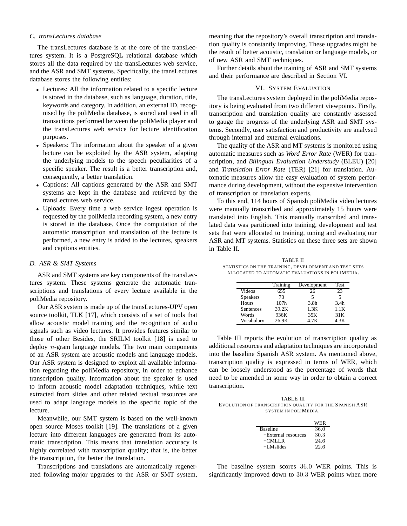## *C. transLectures database*

The transLectures database is at the core of the transLectures system. It is a PostgreSQL relational database which stores all the data required by the transLectures web service, and the ASR and SMT systems. Specifically, the transLectures database stores the following entities:

- Lectures: All the information related to a specific lecture is stored in the database, such as language, duration, title, keywords and category. In addition, an external ID, recognised by the poliMedia database, is stored and used in all transactions performed between the poliMedia player and the transLectures web service for lecture identification purposes.
- Speakers: The information about the speaker of a given lecture can be exploited by the ASR system, adapting the underlying models to the speech peculiarities of a specific speaker. The result is a better transcription and, consequently, a better translation.
- Captions: All captions generated by the ASR and SMT systems are kept in the database and retrieved by the transLectures web service.
- Uploads: Every time a web service ingest operation is requested by the poliMedia recording system, a new entry is stored in the database. Once the computation of the automatic transcription and translation of the lecture is performed, a new entry is added to the lectures, speakers and captions entities.

#### *D. ASR & SMT Systems*

ASR and SMT systems are key components of the transLectures system. These systems generate the automatic transcriptions and translations of every lecture available in the poliMedia repository.

Our ASR system is made up of the transLectures-UPV open source toolkit, TLK [17], which consists of a set of tools that allow acoustic model training and the recognition of audio signals such as video lectures. It provides features similar to those of other Besides, the SRILM toolkit [18] is used to deploy  $n$ -gram language models. The two main components of an ASR system are acoustic models and language models. Our ASR system is designed to exploit all available information regarding the poliMedia repository, in order to enhance transcription quality. Information about the speaker is used to inform acoustic model adaptation techniques, while text extracted from slides and other related textual resources are used to adapt language models to the specific topic of the lecture.

Meanwhile, our SMT system is based on the well-known open source Moses toolkit [19]. The translations of a given lecture into different languages are generated from its automatic transcription. This means that translation accuracy is highly correlated with transcription quality; that is, the better the transcription, the better the translation.

Transcriptions and translations are automatically regenerated following major upgrades to the ASR or SMT system, meaning that the repository's overall transcription and translation quality is constantly improving. These upgrades might be the result of better acoustic, translation or language models, or of new ASR and SMT techniques.

Further details about the training of ASR and SMT systems and their performance are described in Section VI.

## VI. SYSTEM EVALUATION

The transLectures system deployed in the poliMedia repository is being evaluated from two different viewpoints. Firstly, transcription and translation quality are constantly assessed to gauge the progress of the underlying ASR and SMT systems. Secondly, user satisfaction and productivity are analysed through internal and external evaluations.

The quality of the ASR and MT systems is monitored using automatic measures such as *Word Error Rate* (WER) for transcription, and *Bilingual Evaluation Understudy* (BLEU) [20] and *Translation Error Rate* (TER) [21] for translation. Automatic measures allow the easy evaluation of system performance during development, without the expensive intervention of transcription or translation experts.

To this end, 114 hours of Spanish poliMedia video lectures were manually transcribed and approximately 15 hours were translated into English. This manually transcribed and translated data was partitioned into training, development and test sets that were allocated to training, tuning and evaluating our ASR and MT systems. Statistics on these three sets are shown in Table II.

TABLE II STATISTICS ON THE TRAINING, DEVELOPMENT AND TEST SETS ALLOCATED TO AUTOMATIC EVALUATIONS IN POLIMEDIA.

|                 | Training         | Development      | <b>Test</b>      |
|-----------------|------------------|------------------|------------------|
| Videos          | 655              | 26               | 23               |
| <b>Speakers</b> | 73               | 5                | 5                |
| Hours           | 107 <sub>h</sub> | 3.8 <sub>h</sub> | 3.4 <sub>h</sub> |
| Sentences       | 39.2K            | 1.3K             | 1.1K             |
| Words           | 936K             | 35K              | 31K              |
| Vocabulary      | 26.9K            | 4.7K             | 4.3K             |

Table III reports the evolution of transcription quality as additional resources and adaptation techniques are incorporated into the baseline Spanish ASR system. As mentioned above, transcription quality is expressed in terms of WER, which can be loosely understood as the percentage of words that need to be amended in some way in order to obtain a correct transcription.

TABLE III EVOLUTION OF TRANSCRIPTION QUALITY FOR THE SPANISH ASR SYSTEM IN POLIMEDIA.

|                     | WER  |
|---------------------|------|
| <b>Baseline</b>     | 36.0 |
| +External resources | 30.3 |
| $+$ CMLLR           | 24.6 |
| $+$ LMslides        | 22.6 |

The baseline system scores 36.0 WER points. This is significantly improved down to 30.3 WER points when more